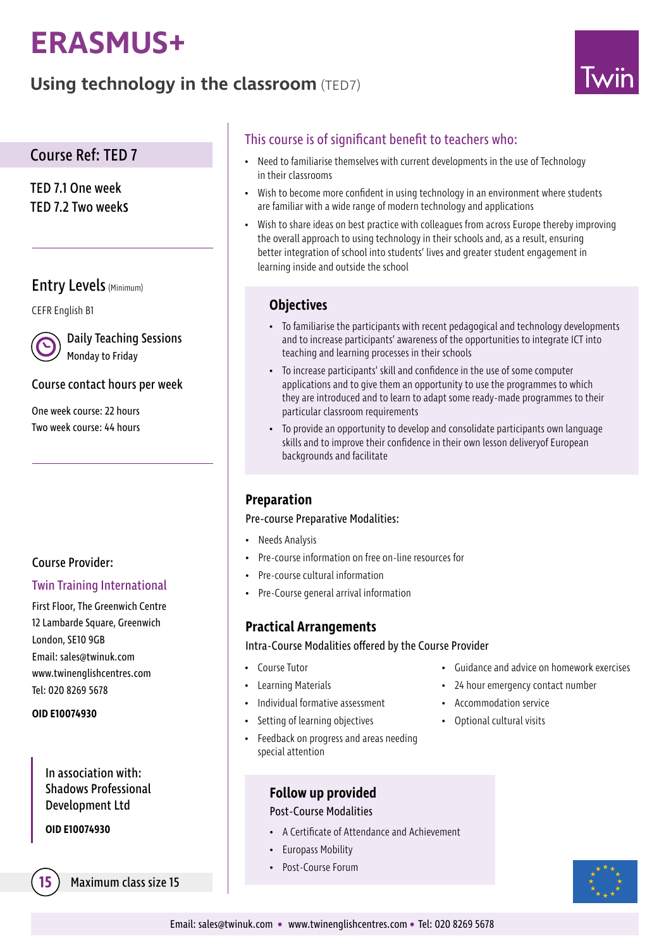# **ERASMUS+**

# **Using technology in the classroom** (TED7)



# Course Ref: TED 7

TED 7.1 One week TED 7.2 Two weeks

# Entry Levels (Minimum)

CEFR English B1

Daily Teaching Sessions Monday to Friday

### Course contact hours per week

One week course: 22 hours Two week course: 44 hours

# Course Provider:

### Twin Training International

First Floor, The Greenwich Centre 12 Lambarde Square, Greenwich London, SE10 9GB Email: sales@twinuk.com www.twinenglishcentres.com Tel: 020 8269 5678

#### **OID E10074930**

In association with: Shadows Professional Development Ltd

**OID E10074930**

**15** Maximum class size 15

# This course is of significant benefit to teachers who:

- Need to familiarise themselves with current developments in the use of Technology in their classrooms
- Wish to become more confident in using technology in an environment where students are familiar with a wide range of modern technology and applications
- Wish to share ideas on best practice with colleagues from across Europe thereby improving the overall approach to using technology in their schools and, as a result, ensuring better integration of school into students' lives and greater student engagement in learning inside and outside the school

# **Objectives**

- To familiarise the participants with recent pedagogical and technology developments and to increase participants' awareness of the opportunities to integrate ICT into teaching and learning processes in their schools
- To increase participants' skill and confidence in the use of some computer applications and to give them an opportunity to use the programmes to which they are introduced and to learn to adapt some ready-made programmes to their particular classroom requirements
- To provide an opportunity to develop and consolidate participants own language skills and to improve their confidence in their own lesson deliveryof European backgrounds and facilitate

# **Preparation**

### Pre-course Preparative Modalities:

- Needs Analysis
- Pre-course information on free on-line resources for
- Pre-course cultural information
- Pre-Course general arrival information

# **Practical Arrangements**

Intra-Course Modalities offered by the Course Provider

- Course Tutor
- Learning Materials
- Individual formative assessment
- Setting of learning objectives
- Feedback on progress and areas needing special attention

### **Follow up provided**

### Post-Course Modalities

- A Certificate of Attendance and Achievement
- Europass Mobility
- Post-Course Forum
- Guidance and advice on homework exercises
- 24 hour emergency contact number
- Accommodation service
- Optional cultural visits

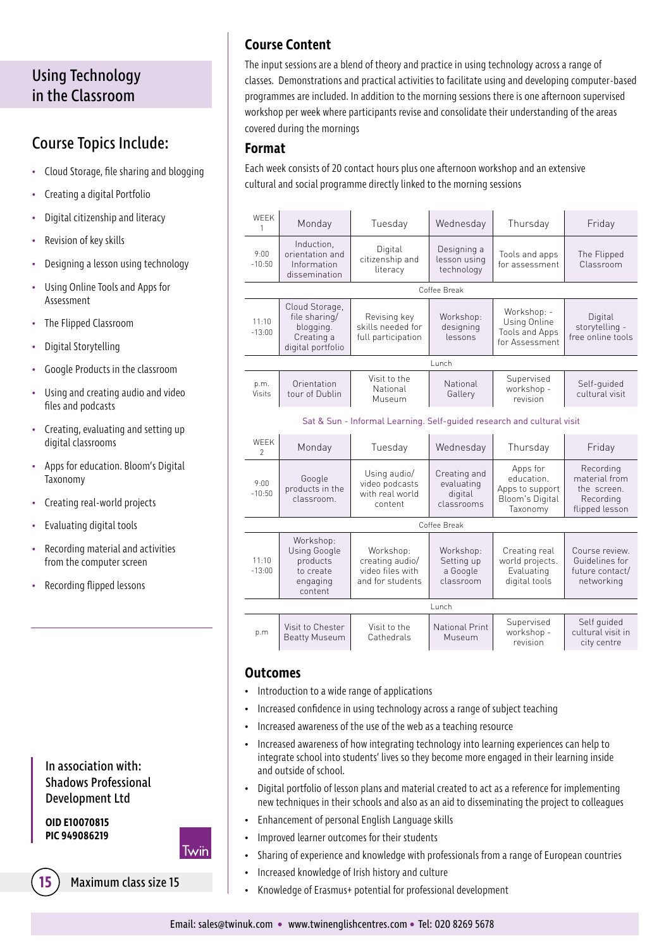# Using Technology in the Classroom

# Course Topics Include:

- Cloud Storage, file sharing and blogging
- Creating a digital Portfolio
- Digital citizenship and literacy
- Revision of key skills
- Designing a lesson using technology
- Using Online Tools and Apps for Assessment
- The Flipped Classroom
- Digital Storytelling
- Google Products in the classroom
- Using and creating audio and video files and podcasts
- Creating, evaluating and setting up digital classrooms
- Apps for education. Bloom's Digital Taxonomy
- Creating real-world projects
- Evaluating digital tools
- Recording material and activities from the computer screen
- Recording flipped lessons

## In association with: Shadows Professional Development Ltd

**OID E10070815 PIC 949086219**

# Twin



**15** Maximum class size 15

# **Course Content**

The input sessions are a blend of theory and practice in using technology across a range of classes. Demonstrations and practical activities to facilitate using and developing computer-based programmes are included. In addition to the morning sessions there is one afternoon supervised workshop per week where participants revise and consolidate their understanding of the areas covered during the mornings

### **Format**

Each week consists of 20 contact hours plus one afternoon workshop and an extensive cultural and social programme directly linked to the morning sessions

| <b>WFFK</b><br>1                                                       | Monday                                                                          | Tuesday                                                              | Wednesday                                           | Thursday                                                                 | Friday                                                                   |  |  |
|------------------------------------------------------------------------|---------------------------------------------------------------------------------|----------------------------------------------------------------------|-----------------------------------------------------|--------------------------------------------------------------------------|--------------------------------------------------------------------------|--|--|
| 9:00<br>$-10:50$                                                       | Induction,<br>orientation and<br>Information<br>dissemination                   | Digital<br>citizenship and<br>literacy                               | Designing a<br>lesson using<br>technology           | Tools and apps<br>for assessment                                         | The Flipped<br>Classroom                                                 |  |  |
| Coffee Break                                                           |                                                                                 |                                                                      |                                                     |                                                                          |                                                                          |  |  |
| 11:10<br>$-13:00$                                                      | Cloud Storage,<br>file sharing/<br>blogging.<br>Creating a<br>digital portfolio | Revising key<br>skills needed for<br>full participation              | Workshop:<br>designing<br>lessons                   | Workshop: -<br>Using Online<br>Tools and Apps<br>for Assessment          | Digital<br>storytelling -<br>free online tools                           |  |  |
| Lunch                                                                  |                                                                                 |                                                                      |                                                     |                                                                          |                                                                          |  |  |
| p.m.<br>Visits                                                         | Orientation<br>tour of Dublin                                                   | Visit to the<br>National<br>Museum                                   | National<br>Gallery                                 | Supervised<br>workshop -<br>revision                                     | Self-quided<br>cultural visit                                            |  |  |
| Sat & Sun - Informal Learning. Self-guided research and cultural visit |                                                                                 |                                                                      |                                                     |                                                                          |                                                                          |  |  |
| <b>WFFK</b><br>$\mathfrak{D}$                                          | Monday                                                                          | Tuesday                                                              | Wednesday                                           | Thursday                                                                 | Friday                                                                   |  |  |
| 9:00<br>$-10:50$                                                       | Google<br>products in the<br>classroom.                                         | Using audio/<br>video podcasts<br>with real world<br>content         | Creating and<br>evaluating<br>digital<br>classrooms | Apps for<br>education.<br>Apps to support<br>Bloom's Digital<br>Taxonomy | Recording<br>material from<br>the screen.<br>Recording<br>flipped lesson |  |  |
| Coffee Break                                                           |                                                                                 |                                                                      |                                                     |                                                                          |                                                                          |  |  |
| 11:10<br>$-13:00$                                                      | Workshop:<br>Using Google<br>products<br>to create<br>engaging<br>content       | Workshop:<br>creating audio/<br>video files with<br>and for students | Workshop:<br>Setting up<br>a Google<br>classroom    | Creating real<br>world projects.<br>Evaluating<br>digital tools          | Course review.<br>Guidelines for<br>future contact/<br>networking        |  |  |
| Lunch                                                                  |                                                                                 |                                                                      |                                                     |                                                                          |                                                                          |  |  |
| p.m                                                                    | Visit to Chester<br><b>Beatty Museum</b>                                        | Visit to the<br>Cathedrals                                           | National Print<br>Museum                            | Supervised<br>workshop -<br>revision                                     | Self quided<br>cultural visit in<br>city centre                          |  |  |

#### **Outcomes**

- Introduction to a wide range of applications
- Increased confidence in using technology across a range of subject teaching
- Increased awareness of the use of the web as a teaching resource
- Increased awareness of how integrating technology into learning experiences can help to integrate school into students' lives so they become more engaged in their learning inside and outside of school.
- Digital portfolio of lesson plans and material created to act as a reference for implementing new techniques in their schools and also as an aid to disseminating the project to colleagues
- Enhancement of personal English Language skills
- Improved learner outcomes for their students
- Sharing of experience and knowledge with professionals from a range of European countries
- Increased knowledge of Irish history and culture
- Knowledge of Erasmus+ potential for professional development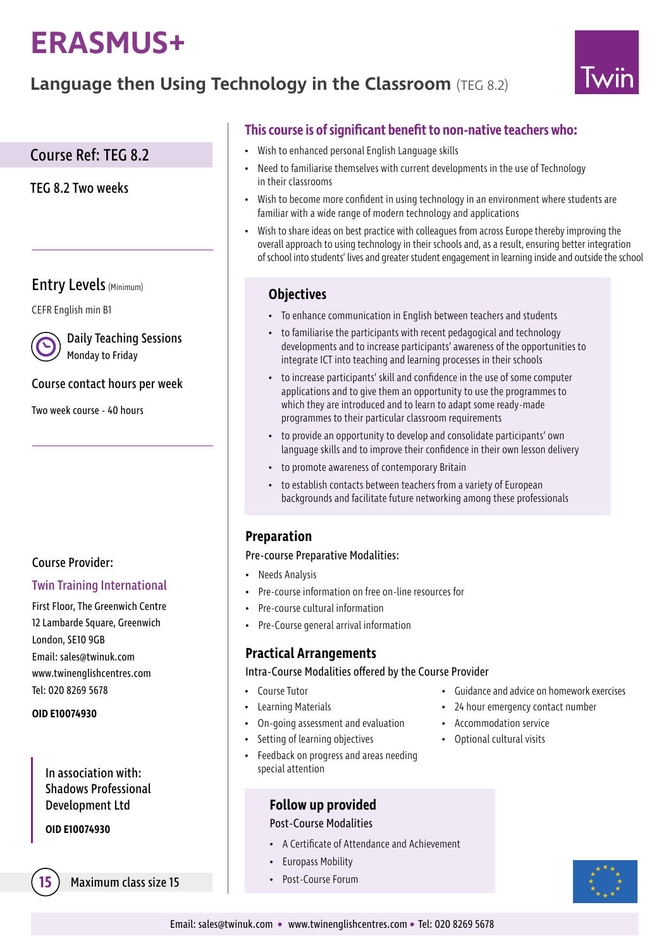# **ERASMUS+**

# **Language then Using Technology in the Classroom** (TEG 8.2)



# Course Ref: TEG 8.2

TEG 8.2 Two weeks

# Entry Levels (Minimum)

CEFR English min B1

Daily Teaching Sessions Monday to Friday

### Course contact hours per week

Two week course - 40 hours

# Course Provider:

### Twin Training International

First Floor, The Greenwich Centre 12 Lambarde Square, Greenwich London, SE10 9GB Email: sales@twinuk.com www.twinenglishcentres.com Tel: 020 8269 5678

#### **OID E10074930**

In association with: Shadows Professional Development Ltd

**OID E10074930**

**Maximum class size 15** • Post-Course Forum

# **This course is of significant benefit to non-native teachers who:**

- Wish to enhanced personal English Language skills
- Need to familiarise themselves with current developments in the use of Technology in their classrooms
- Wish to become more confident in using technology in an environment where students are familiar with a wide range of modern technology and applications
- Wish to share ideas on best practice with colleagues from across Europe thereby improving the overall approach to using technology in their schools and, as a result, ensuring better integration of school into students' lives and greater student engagement in learning inside and outside the school

## **Objectives**

- To enhance communication in English between teachers and students
- to familiarise the participants with recent pedagogical and technology developments and to increase participants' awareness of the opportunities to integrate ICT into teaching and learning processes in their schools
- to increase participants' skill and confidence in the use of some computer applications and to give them an opportunity to use the programmes to which they are introduced and to learn to adapt some ready-made programmes to their particular classroom requirements
- to provide an opportunity to develop and consolidate participants' own language skills and to improve their confidence in their own lesson delivery
- to promote awareness of contemporary Britain
- to establish contacts between teachers from a variety of European backgrounds and facilitate future networking among these professionals

# **Preparation**

#### Pre-course Preparative Modalities:

- Needs Analysis
- Pre-course information on free on-line resources for
- Pre-course cultural information
- Pre-Course general arrival information

# **Practical Arrangements**

Intra-Course Modalities offered by the Course Provider

- Course Tutor
- Learning Materials
- On-going assessment and evaluation
- Setting of learning objectives
- Feedback on progress and areas needing special attention

### **Follow up provided**

#### Post-Course Modalities

- A Certificate of Attendance and Achievement
- Europass Mobility
- 
- Guidance and advice on homework exercises
- 24 hour emergency contact number
- Accommodation service
- Optional cultural visits

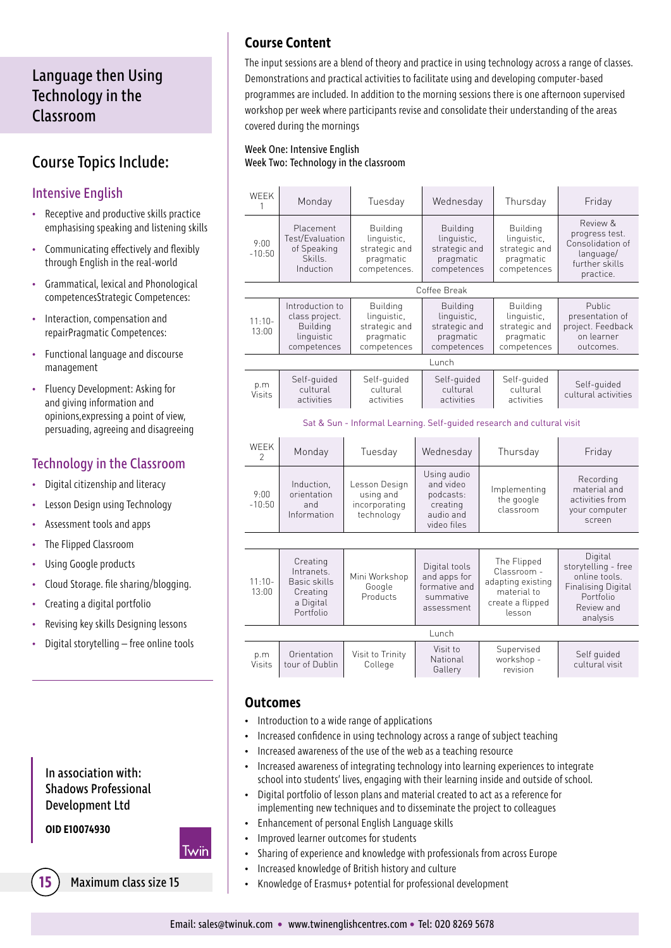# Language then Using Technology in the Classroom

# Course Topics Include:

# Intensive English

- Receptive and productive skills practice emphasising speaking and listening skills
- Communicating effectively and flexibly through English in the real-world
- Grammatical, lexical and Phonological competencesStrategic Competences:
- Interaction, compensation and repairPragmatic Competences:
- Functional language and discourse management
- Fluency Development: Asking for and giving information and opinions,expressing a point of view, persuading, agreeing and disagreeing

# Technology in the Classroom

- Digital citizenship and literacy
- Lesson Design using Technology
- Assessment tools and apps
- The Flipped Classroom
- Using Google products
- Cloud Storage. file sharing/blogging.
- Creating a digital portfolio
- Revising key skills Designing lessons
- Digital storytelling free online tools

## In association with: Shadows Professional Development Ltd

**OID E10074930**

Twin



**15** Maximum class size 15

# **Course Content**

The input sessions are a blend of theory and practice in using technology across a range of classes. Demonstrations and practical activities to facilitate using and developing computer-based programmes are included. In addition to the morning sessions there is one afternoon supervised workshop per week where participants revise and consolidate their understanding of the areas covered during the mornings

#### Week One: Intensive English Week Two: Technology in the classroom

| <b>WFFK</b><br>1                                                       | Monday                                                                       | Tuesday                                                                      | Wednesday                                                                     |  | Thursday                                                                                     | Friday                                                                                                              |  |
|------------------------------------------------------------------------|------------------------------------------------------------------------------|------------------------------------------------------------------------------|-------------------------------------------------------------------------------|--|----------------------------------------------------------------------------------------------|---------------------------------------------------------------------------------------------------------------------|--|
| 9:00<br>$-10:50$                                                       | Placement<br>Test/Evaluation<br>of Speaking<br>Skills.<br>Induction          | <b>Building</b><br>linguistic,<br>strategic and<br>pragmatic<br>competences. | <b>Building</b><br>linguistic,<br>strategic and<br>pragmatic<br>competences   |  | <b>Building</b><br>linguistic.<br>strategic and<br>pragmatic<br>competences                  | Review &<br>progress test.<br>Consolidation of<br>language/<br>further skills<br>practice.                          |  |
|                                                                        |                                                                              |                                                                              | Coffee Break                                                                  |  |                                                                                              |                                                                                                                     |  |
| $11:10-$<br>13:00                                                      | Introduction to<br>class project.<br>Building<br>linguistic<br>competences   | <b>Building</b><br>linguistic,<br>strategic and<br>pragmatic<br>competences  | <b>Building</b><br>linguistic,<br>strategic and<br>pragmatic<br>competences   |  | <b>Building</b><br>linguistic,<br>strategic and<br>pragmatic<br>competences                  | Public<br>presentation of<br>project. Feedback<br>on learner<br>outcomes.                                           |  |
| Lunch                                                                  |                                                                              |                                                                              |                                                                               |  |                                                                                              |                                                                                                                     |  |
| p.m<br>Visits                                                          | Self-quided<br>cultural<br>activities                                        | Self-quided<br>cultural<br>activities                                        | Self-quided<br>cultural<br>activities                                         |  | Self-quided<br>cultural<br>activities                                                        | Self-quided<br>cultural activities                                                                                  |  |
| Sat & Sun - Informal Learning. Self-quided research and cultural visit |                                                                              |                                                                              |                                                                               |  |                                                                                              |                                                                                                                     |  |
| <b>WEEK</b><br>$\mathcal{P}$                                           | Monday                                                                       | Tuesday                                                                      | Wednesday                                                                     |  | Thursday                                                                                     | Friday                                                                                                              |  |
| 9:00<br>$-10:50$                                                       | Induction.<br>orientation<br>and<br>Information                              | Lesson Design<br>using and<br>incorporating<br>technology                    | Using audio<br>and video<br>podcasts:<br>creating<br>audio and<br>video files |  | Implementing<br>the google<br>classroom                                                      | Recording<br>material and<br>activities from<br>your computer<br>screen                                             |  |
|                                                                        |                                                                              |                                                                              |                                                                               |  |                                                                                              |                                                                                                                     |  |
| $11:10-$<br>13:00                                                      | Creating<br>Intranets.<br>Basic skills<br>Creating<br>a Digital<br>Portfolio | Mini Workshop<br>Google<br>Products                                          | Digital tools<br>and apps for<br>formative and<br>summative<br>assessment     |  | The Flipped<br>Classroom -<br>adapting existing<br>material to<br>create a flipped<br>lesson | Digital<br>storytelling - free<br>online tools.<br><b>Finalising Digital</b><br>Portfolio<br>Review and<br>analysis |  |
| Lunch                                                                  |                                                                              |                                                                              |                                                                               |  |                                                                                              |                                                                                                                     |  |
| p.m<br>Visits                                                          | Orientation<br>tour of Dublin                                                | Visit to Trinity<br>College                                                  | Visit to<br>National<br>Gallery                                               |  | Supervised<br>workshop -<br>revision                                                         | Self quided<br>cultural visit                                                                                       |  |

### **Outcomes**

- Introduction to a wide range of applications
- Increased confidence in using technology across a range of subject teaching
- Increased awareness of the use of the web as a teaching resource
- Increased awareness of integrating technology into learning experiences to integrate school into students' lives, engaging with their learning inside and outside of school.
- Digital portfolio of lesson plans and material created to act as a reference for implementing new techniques and to disseminate the project to colleagues
- Enhancement of personal English Language skills
- Improved learner outcomes for students
- Sharing of experience and knowledge with professionals from across Europe
- Increased knowledge of British history and culture
- Knowledge of Erasmus+ potential for professional development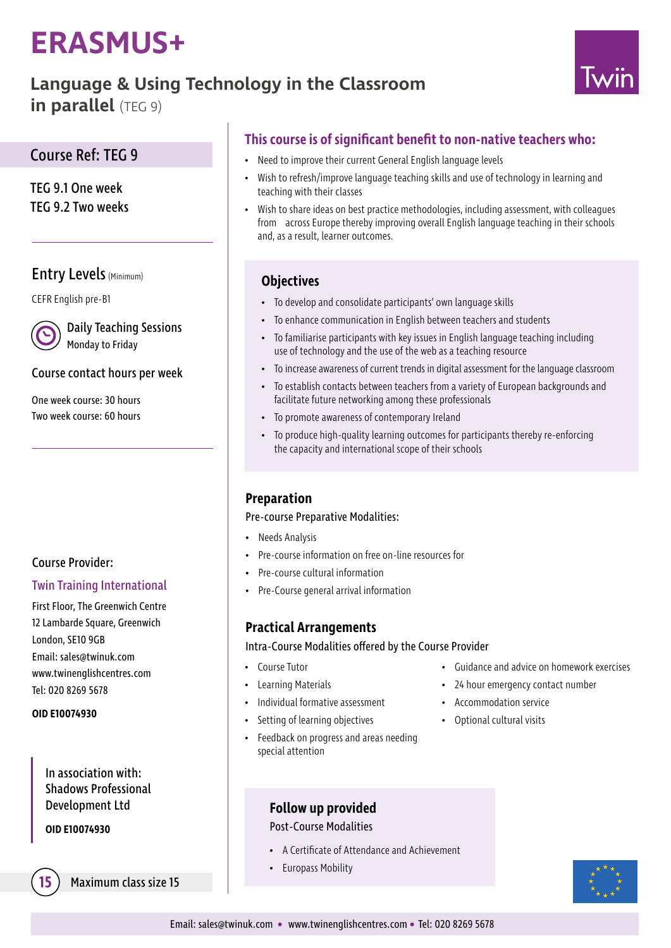# **ERASMUS+**

# **Language & Using Technology in the Classroom**

**in parallel** (TEG 9)



# Course Ref: TEG 9

TEG 9.1 One week TEG 9.2 Two weeks

# Entry Levels (Minimum)

CEFR English pre-B1

Daily Teaching Sessions Monday to Friday

## Course contact hours per week

One week course: 30 hours Two week course: 60 hours

# Course Provider:

### Twin Training International

First Floor, The Greenwich Centre 12 Lambarde Square, Greenwich London, SE10 9GB Email: sales@twinuk.com www.twinenglishcentres.com Tel: 020 8269 5678

### **OID E10074930**

In association with: Shadows Professional Development Ltd

**OID E10074930**

**15** Maximum class size 15

# **This course is of significant benefit to non-native teachers who:**

- Need to improve their current General English language levels
- Wish to refresh/improve language teaching skills and use of technology in learning and teaching with their classes
- Wish to share ideas on best practice methodologies, including assessment, with colleagues from across Europe thereby improving overall English language teaching in their schools and, as a result, learner outcomes.

# **Objectives**

- To develop and consolidate participants' own language skills
- To enhance communication in English between teachers and students
- To familiarise participants with key issues in English language teaching including use of technology and the use of the web as a teaching resource
- To increase awareness of current trends in digital assessment for the language classroom
- To establish contacts between teachers from a variety of European backgrounds and facilitate future networking among these professionals
- To promote awareness of contemporary Ireland
- To produce high-quality learning outcomes for participants thereby re-enforcing the capacity and international scope of their schools

# **Preparation**

### Pre-course Preparative Modalities:

- Needs Analysis
- Pre-course information on free on-line resources for
- Pre-course cultural information
- Pre-Course general arrival information

# **Practical Arrangements**

Intra-Course Modalities offered by the Course Provider

- Course Tutor
- Learning Materials
- Individual formative assessment
- Setting of learning objectives
- Feedback on progress and areas needing special attention
- Guidance and advice on homework exercises
- 24 hour emergency contact number
- Accommodation service
- Optional cultural visits

**Follow up provided**

### Post-Course Modalities

- A Certificate of Attendance and Achievement
- Europass Mobility